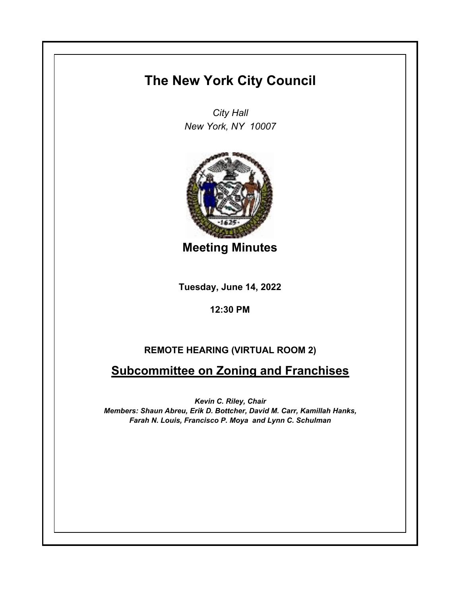# **The New York City Council**

*City Hall New York, NY 10007*



**Meeting Minutes**

**Tuesday, June 14, 2022**

**12:30 PM**

## **REMOTE HEARING (VIRTUAL ROOM 2)**

**Subcommittee on Zoning and Franchises**

*Kevin C. Riley, Chair Members: Shaun Abreu, Erik D. Bottcher, David M. Carr, Kamillah Hanks, Farah N. Louis, Francisco P. Moya and Lynn C. Schulman*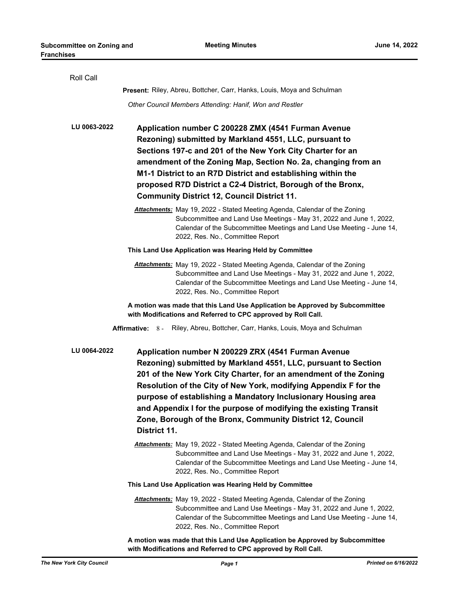| Roll Call       |                                                                                                                                                                                                                                                                                                                                                                                                                                                                                  |
|-----------------|----------------------------------------------------------------------------------------------------------------------------------------------------------------------------------------------------------------------------------------------------------------------------------------------------------------------------------------------------------------------------------------------------------------------------------------------------------------------------------|
|                 | Present: Riley, Abreu, Bottcher, Carr, Hanks, Louis, Moya and Schulman                                                                                                                                                                                                                                                                                                                                                                                                           |
|                 | Other Council Members Attending: Hanif, Won and Restler                                                                                                                                                                                                                                                                                                                                                                                                                          |
| LU 0063-2022    | Application number C 200228 ZMX (4541 Furman Avenue<br>Rezoning) submitted by Markland 4551, LLC, pursuant to<br>Sections 197-c and 201 of the New York City Charter for an<br>amendment of the Zoning Map, Section No. 2a, changing from an<br>M1-1 District to an R7D District and establishing within the<br>proposed R7D District a C2-4 District, Borough of the Bronx,<br><b>Community District 12, Council District 11.</b>                                               |
|                 | Attachments: May 19, 2022 - Stated Meeting Agenda, Calendar of the Zoning<br>Subcommittee and Land Use Meetings - May 31, 2022 and June 1, 2022,<br>Calendar of the Subcommittee Meetings and Land Use Meeting - June 14,<br>2022, Res. No., Committee Report                                                                                                                                                                                                                    |
|                 | This Land Use Application was Hearing Held by Committee                                                                                                                                                                                                                                                                                                                                                                                                                          |
|                 | Attachments: May 19, 2022 - Stated Meeting Agenda, Calendar of the Zoning<br>Subcommittee and Land Use Meetings - May 31, 2022 and June 1, 2022,<br>Calendar of the Subcommittee Meetings and Land Use Meeting - June 14,<br>2022, Res. No., Committee Report                                                                                                                                                                                                                    |
|                 | A motion was made that this Land Use Application be Approved by Subcommittee<br>with Modifications and Referred to CPC approved by Roll Call.                                                                                                                                                                                                                                                                                                                                    |
| Affirmative: 8- | Riley, Abreu, Bottcher, Carr, Hanks, Louis, Moya and Schulman                                                                                                                                                                                                                                                                                                                                                                                                                    |
| LU 0064-2022    | Application number N 200229 ZRX (4541 Furman Avenue<br>Rezoning) submitted by Markland 4551, LLC, pursuant to Section<br>201 of the New York City Charter, for an amendment of the Zoning<br>Resolution of the City of New York, modifying Appendix F for the<br>purpose of establishing a Mandatory Inclusionary Housing area<br>and Appendix I for the purpose of modifying the existing Transit<br>Zone, Borough of the Bronx, Community District 12, Council<br>District 11. |
|                 | Attachments: May 19, 2022 - Stated Meeting Agenda, Calendar of the Zoning<br>Subcommittee and Land Use Meetings - May 31, 2022 and June 1, 2022,<br>Calendar of the Subcommittee Meetings and Land Use Meeting - June 14,<br>2022, Res. No., Committee Report                                                                                                                                                                                                                    |
|                 | This Land Use Application was Hearing Held by Committee                                                                                                                                                                                                                                                                                                                                                                                                                          |
|                 | Attachments: May 19, 2022 - Stated Meeting Agenda, Calendar of the Zoning<br>Subcommittee and Land Use Meetings - May 31, 2022 and June 1, 2022,<br>Calendar of the Subcommittee Meetings and Land Use Meeting - June 14,<br>2022, Res. No., Committee Report                                                                                                                                                                                                                    |
|                 | A motion was made that this Land Use Application be Approved by Subcommittee                                                                                                                                                                                                                                                                                                                                                                                                     |

*The New York City Council Page 1 Printed on 6/16/2022*

**with Modifications and Referred to CPC approved by Roll Call.**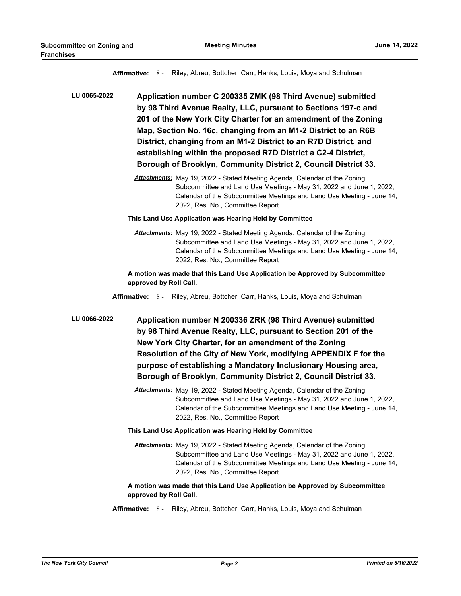**Affirmative:** 8 - Riley, Abreu, Bottcher, Carr, Hanks, Louis, Moya and Schulman

**Application number C 200335 ZMK (98 Third Avenue) submitted by 98 Third Avenue Realty, LLC, pursuant to Sections 197-c and 201 of the New York City Charter for an amendment of the Zoning Map, Section No. 16c, changing from an M1-2 District to an R6B District, changing from an M1-2 District to an R7D District, and establishing within the proposed R7D District a C2-4 District, Borough of Brooklyn, Community District 2, Council District 33. LU 0065-2022**

> *Attachments:* May 19, 2022 - Stated Meeting Agenda, Calendar of the Zoning Subcommittee and Land Use Meetings - May 31, 2022 and June 1, 2022, Calendar of the Subcommittee Meetings and Land Use Meeting - June 14, 2022, Res. No., Committee Report

#### **This Land Use Application was Hearing Held by Committee**

*Attachments:* May 19, 2022 - Stated Meeting Agenda, Calendar of the Zoning Subcommittee and Land Use Meetings - May 31, 2022 and June 1, 2022, Calendar of the Subcommittee Meetings and Land Use Meeting - June 14, 2022, Res. No., Committee Report

#### **A motion was made that this Land Use Application be Approved by Subcommittee approved by Roll Call.**

**Affirmative:** 8 - Riley, Abreu, Bottcher, Carr, Hanks, Louis, Moya and Schulman

**Application number N 200336 ZRK (98 Third Avenue) submitted by 98 Third Avenue Realty, LLC, pursuant to Section 201 of the New York City Charter, for an amendment of the Zoning Resolution of the City of New York, modifying APPENDIX F for the purpose of establishing a Mandatory Inclusionary Housing area, Borough of Brooklyn, Community District 2, Council District 33. LU 0066-2022**

> *Attachments:* May 19, 2022 - Stated Meeting Agenda, Calendar of the Zoning Subcommittee and Land Use Meetings - May 31, 2022 and June 1, 2022, Calendar of the Subcommittee Meetings and Land Use Meeting - June 14, 2022, Res. No., Committee Report

#### **This Land Use Application was Hearing Held by Committee**

*Attachments:* May 19, 2022 - Stated Meeting Agenda, Calendar of the Zoning Subcommittee and Land Use Meetings - May 31, 2022 and June 1, 2022, Calendar of the Subcommittee Meetings and Land Use Meeting - June 14, 2022, Res. No., Committee Report

### **A motion was made that this Land Use Application be Approved by Subcommittee approved by Roll Call.**

**Affirmative:** 8 - Riley, Abreu, Bottcher, Carr, Hanks, Louis, Moya and Schulman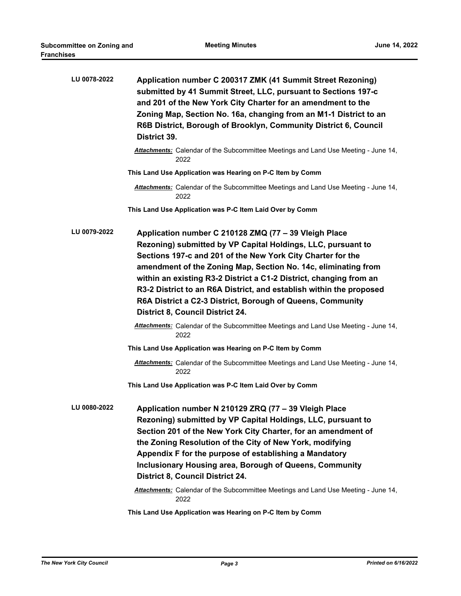| LU 0078-2022 | Application number C 200317 ZMK (41 Summit Street Rezoning)<br>submitted by 41 Summit Street, LLC, pursuant to Sections 197-c<br>and 201 of the New York City Charter for an amendment to the<br>Zoning Map, Section No. 16a, changing from an M1-1 District to an<br>R6B District, Borough of Brooklyn, Community District 6, Council<br>District 39.                                                                                                                                                                  |
|--------------|-------------------------------------------------------------------------------------------------------------------------------------------------------------------------------------------------------------------------------------------------------------------------------------------------------------------------------------------------------------------------------------------------------------------------------------------------------------------------------------------------------------------------|
|              | Attachments: Calendar of the Subcommittee Meetings and Land Use Meeting - June 14,<br>2022                                                                                                                                                                                                                                                                                                                                                                                                                              |
|              | This Land Use Application was Hearing on P-C Item by Comm                                                                                                                                                                                                                                                                                                                                                                                                                                                               |
|              | Attachments: Calendar of the Subcommittee Meetings and Land Use Meeting - June 14,<br>2022                                                                                                                                                                                                                                                                                                                                                                                                                              |
|              | This Land Use Application was P-C Item Laid Over by Comm                                                                                                                                                                                                                                                                                                                                                                                                                                                                |
| LU 0079-2022 | Application number C 210128 ZMQ (77 - 39 Vleigh Place<br>Rezoning) submitted by VP Capital Holdings, LLC, pursuant to<br>Sections 197-c and 201 of the New York City Charter for the<br>amendment of the Zoning Map, Section No. 14c, eliminating from<br>within an existing R3-2 District a C1-2 District, changing from an<br>R3-2 District to an R6A District, and establish within the proposed<br>R6A District a C2-3 District, Borough of Queens, Community<br><b>District 8, Council District 24.</b>            |
|              | Attachments: Calendar of the Subcommittee Meetings and Land Use Meeting - June 14,<br>2022                                                                                                                                                                                                                                                                                                                                                                                                                              |
|              | This Land Use Application was Hearing on P-C Item by Comm                                                                                                                                                                                                                                                                                                                                                                                                                                                               |
|              | Attachments: Calendar of the Subcommittee Meetings and Land Use Meeting - June 14,<br>2022                                                                                                                                                                                                                                                                                                                                                                                                                              |
|              | This Land Use Application was P-C Item Laid Over by Comm                                                                                                                                                                                                                                                                                                                                                                                                                                                                |
| LU 0080-2022 | Application number N 210129 ZRQ (77 - 39 Vleigh Place<br>Rezoning) submitted by VP Capital Holdings, LLC, pursuant to<br>Section 201 of the New York City Charter, for an amendment of<br>the Zoning Resolution of the City of New York, modifying<br>Appendix F for the purpose of establishing a Mandatory<br><b>Inclusionary Housing area, Borough of Queens, Community</b><br><b>District 8, Council District 24.</b><br>Attachments: Calendar of the Subcommittee Meetings and Land Use Meeting - June 14,<br>2022 |

**This Land Use Application was Hearing on P-C Item by Comm**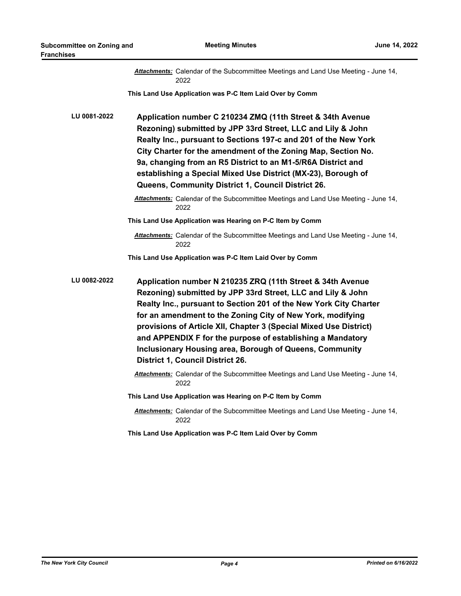|              | Attachments: Calendar of the Subcommittee Meetings and Land Use Meeting - June 14,<br>2022                                                                                                                                                                                                                                                                                                                                                                                                                   |
|--------------|--------------------------------------------------------------------------------------------------------------------------------------------------------------------------------------------------------------------------------------------------------------------------------------------------------------------------------------------------------------------------------------------------------------------------------------------------------------------------------------------------------------|
|              | This Land Use Application was P-C Item Laid Over by Comm                                                                                                                                                                                                                                                                                                                                                                                                                                                     |
| LU 0081-2022 | Application number C 210234 ZMQ (11th Street & 34th Avenue<br>Rezoning) submitted by JPP 33rd Street, LLC and Lily & John<br>Realty Inc., pursuant to Sections 197-c and 201 of the New York<br>City Charter for the amendment of the Zoning Map, Section No.<br>9a, changing from an R5 District to an M1-5/R6A District and<br>establishing a Special Mixed Use District (MX-23), Borough of<br>Queens, Community District 1, Council District 26.                                                         |
|              | <b>Attachments:</b> Calendar of the Subcommittee Meetings and Land Use Meeting - June 14,<br>2022                                                                                                                                                                                                                                                                                                                                                                                                            |
|              | This Land Use Application was Hearing on P-C Item by Comm                                                                                                                                                                                                                                                                                                                                                                                                                                                    |
|              | Attachments: Calendar of the Subcommittee Meetings and Land Use Meeting - June 14,<br>2022                                                                                                                                                                                                                                                                                                                                                                                                                   |
|              | This Land Use Application was P-C Item Laid Over by Comm                                                                                                                                                                                                                                                                                                                                                                                                                                                     |
| LU 0082-2022 | Application number N 210235 ZRQ (11th Street & 34th Avenue<br>Rezoning) submitted by JPP 33rd Street, LLC and Lily & John<br>Realty Inc., pursuant to Section 201 of the New York City Charter<br>for an amendment to the Zoning City of New York, modifying<br>provisions of Article XII, Chapter 3 (Special Mixed Use District)<br>and APPENDIX F for the purpose of establishing a Mandatory<br><b>Inclusionary Housing area, Borough of Queens, Community</b><br><b>District 1, Council District 26.</b> |
|              | Attachments: Calendar of the Subcommittee Meetings and Land Use Meeting - June 14,<br>2022                                                                                                                                                                                                                                                                                                                                                                                                                   |
|              | This Land Use Application was Hearing on P-C Item by Comm                                                                                                                                                                                                                                                                                                                                                                                                                                                    |
|              | Attachments: Calendar of the Subcommittee Meetings and Land Use Meeting - June 14,<br>2022                                                                                                                                                                                                                                                                                                                                                                                                                   |
|              | This Land Use Application was P-C Item Laid Over by Comm                                                                                                                                                                                                                                                                                                                                                                                                                                                     |